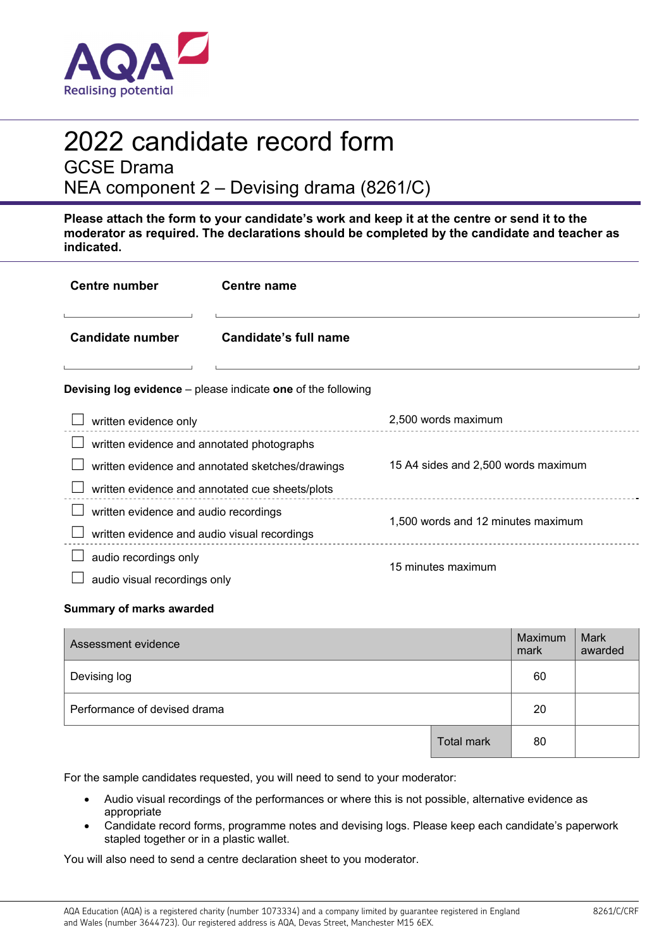

# 2022 candidate record form

GCSE Drama

NEA component 2 – Devising drama (8261/C)

**Please attach the form to your candidate's work and keep it at the centre or send it to the moderator as required. The declarations should be completed by the candidate and teacher as indicated.** 

| <b>Centre number</b>                                                | <b>Centre name</b>                               |                                     |  |
|---------------------------------------------------------------------|--------------------------------------------------|-------------------------------------|--|
| <b>Candidate number</b>                                             | Candidate's full name                            |                                     |  |
| <b>Devising log evidence</b> – please indicate one of the following |                                                  |                                     |  |
| written evidence only                                               |                                                  | 2,500 words maximum                 |  |
| written evidence and annotated photographs                          |                                                  |                                     |  |
|                                                                     | written evidence and annotated sketches/drawings | 15 A4 sides and 2,500 words maximum |  |
| written evidence and annotated cue sheets/plots                     |                                                  |                                     |  |
| written evidence and audio recordings                               |                                                  | 1,500 words and 12 minutes maximum  |  |
| written evidence and audio visual recordings                        |                                                  |                                     |  |
| audio recordings only                                               |                                                  | 15 minutes maximum                  |  |
| audio visual recordings only                                        |                                                  |                                     |  |

### **Summary of marks awarded**

| Assessment evidence          |                   | Maximum<br>mark | <b>Mark</b><br>awarded |
|------------------------------|-------------------|-----------------|------------------------|
| Devising log                 |                   | 60              |                        |
| Performance of devised drama |                   | 20              |                        |
|                              | <b>Total mark</b> | 80              |                        |

For the sample candidates requested, you will need to send to your moderator:

- Audio visual recordings of the performances or where this is not possible, alternative evidence as appropriate
- Candidate record forms, programme notes and devising logs. Please keep each candidate's paperwork stapled together or in a plastic wallet.

You will also need to send a centre declaration sheet to you moderator.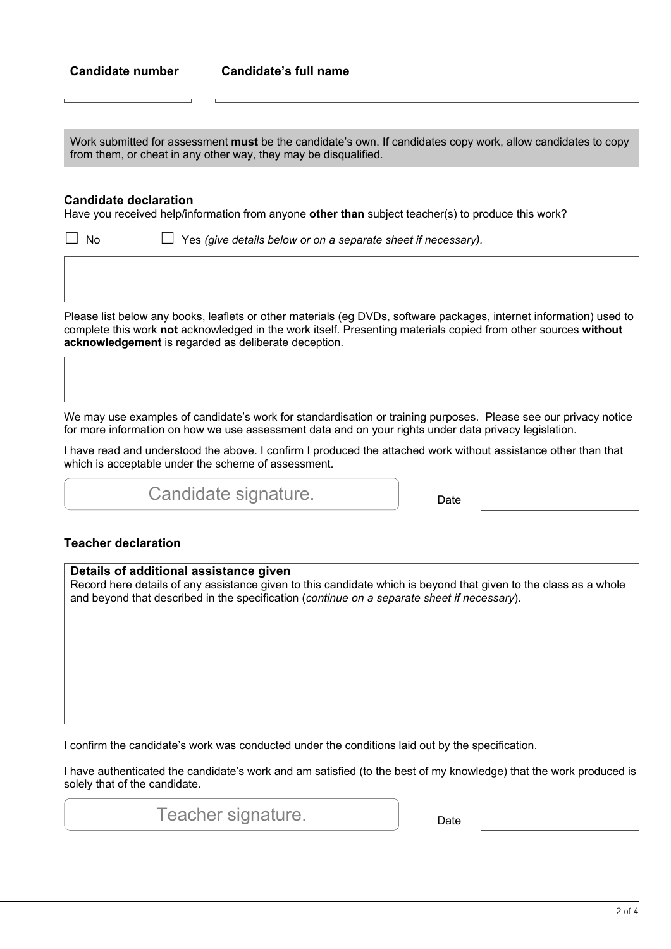Work submitted for assessment **must** be the candidate's own. If candidates copy work, allow candidates to copy from them, or cheat in any other way, they may be disqualified.

#### **Candidate declaration**

Have you received help/information from anyone **other than** subject teacher(s) to produce this work?

☐ No ☐ Yes *(give details below or on a separate sheet if necessary).*

Please list below any books, leaflets or other materials (eg DVDs, software packages, internet information) used to complete this work **not** acknowledged in the work itself. Presenting materials copied from other sources **without acknowledgement** is regarded as deliberate deception.

We may use examples of candidate's work for standardisation or training purposes. Please see our privacy notice for more information on how we use assessment data and on your rights under data privacy legislation.

I have read and understood the above. I confirm I produced the attached work without assistance other than that which is acceptable under the scheme of assessment.

Candidate signature. **Example 2** Date

## **Teacher declaration**

| Details of additional assistance given<br>Record here details of any assistance given to this candidate which is beyond that given to the class as a whole<br>and beyond that described in the specification (continue on a separate sheet if necessary). |
|-----------------------------------------------------------------------------------------------------------------------------------------------------------------------------------------------------------------------------------------------------------|
|                                                                                                                                                                                                                                                           |
|                                                                                                                                                                                                                                                           |
|                                                                                                                                                                                                                                                           |
| I confirm the candidate's work was conducted under the conditions laid out by the specification.                                                                                                                                                          |

I confirm the candidate's work was conducted under the conditions laid out by the specification.

I have authenticated the candidate's work and am satisfied (to the best of my knowledge) that the work produced is solely that of the candidate.

Teacher signature. The pate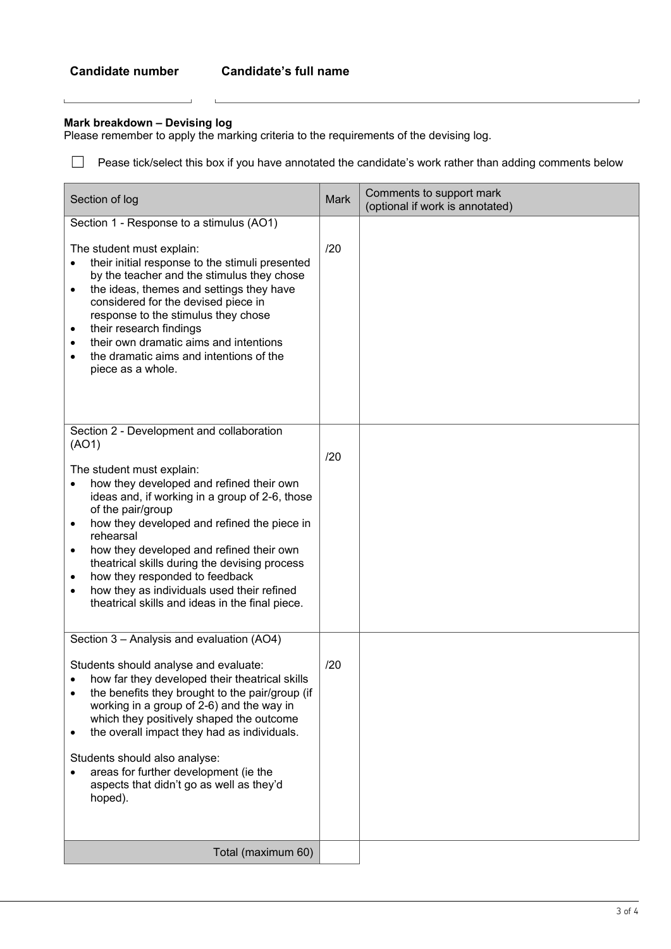$\mathbf{L}$ 

### **Mark breakdown – Devising log**

 $\mathbf{r}$ 

 $\mathbf{L}$ 

Please remember to apply the marking criteria to the requirements of the devising log.

□ Pease tick/select this box if you have annotated the candidate's work rather than adding comments below

| Section of log                                                                                                                                                                                                                                                                                                                                                                                                                                                                                                                                                  | Mark | Comments to support mark<br>(optional if work is annotated) |
|-----------------------------------------------------------------------------------------------------------------------------------------------------------------------------------------------------------------------------------------------------------------------------------------------------------------------------------------------------------------------------------------------------------------------------------------------------------------------------------------------------------------------------------------------------------------|------|-------------------------------------------------------------|
| Section 1 - Response to a stimulus (AO1)<br>The student must explain:<br>their initial response to the stimuli presented<br>$\bullet$<br>by the teacher and the stimulus they chose<br>the ideas, themes and settings they have<br>$\bullet$<br>considered for the devised piece in<br>response to the stimulus they chose<br>their research findings<br>$\bullet$<br>their own dramatic aims and intentions<br>$\bullet$<br>the dramatic aims and intentions of the<br>$\bullet$<br>piece as a whole.                                                          | /20  |                                                             |
| Section 2 - Development and collaboration<br>(AO1)<br>The student must explain:<br>how they developed and refined their own<br>$\bullet$<br>ideas and, if working in a group of 2-6, those<br>of the pair/group<br>how they developed and refined the piece in<br>$\bullet$<br>rehearsal<br>how they developed and refined their own<br>$\bullet$<br>theatrical skills during the devising process<br>how they responded to feedback<br>$\bullet$<br>how they as individuals used their refined<br>$\bullet$<br>theatrical skills and ideas in the final piece. | /20  |                                                             |
| Section 3 - Analysis and evaluation (AO4)<br>Students should analyse and evaluate:<br>how far they developed their theatrical skills<br>$\bullet$<br>the benefits they brought to the pair/group (if<br>$\bullet$<br>working in a group of 2-6) and the way in<br>which they positively shaped the outcome<br>the overall impact they had as individuals.<br>$\bullet$<br>Students should also analyse:<br>areas for further development (ie the<br>$\bullet$<br>aspects that didn't go as well as they'd<br>hoped).                                            | /20  |                                                             |
| Total (maximum 60)                                                                                                                                                                                                                                                                                                                                                                                                                                                                                                                                              |      |                                                             |